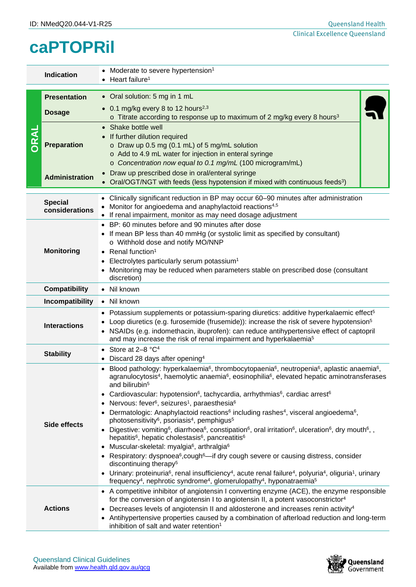## **caPTOPRil**

| <b>Indication</b>   |                                                                                                                                                                                                                                                            | Moderate to severe hypertension <sup>1</sup><br>Heart failure <sup>1</sup>                                                                                                                                                                                                                                                                                                                                                                                                                                                                                                                                                                                                                                                                                                                                                                                                                        |  |  |  |
|---------------------|------------------------------------------------------------------------------------------------------------------------------------------------------------------------------------------------------------------------------------------------------------|---------------------------------------------------------------------------------------------------------------------------------------------------------------------------------------------------------------------------------------------------------------------------------------------------------------------------------------------------------------------------------------------------------------------------------------------------------------------------------------------------------------------------------------------------------------------------------------------------------------------------------------------------------------------------------------------------------------------------------------------------------------------------------------------------------------------------------------------------------------------------------------------------|--|--|--|
|                     | <b>Presentation</b>                                                                                                                                                                                                                                        | • Oral solution: 5 mg in 1 mL                                                                                                                                                                                                                                                                                                                                                                                                                                                                                                                                                                                                                                                                                                                                                                                                                                                                     |  |  |  |
| RAL                 | <b>Dosage</b>                                                                                                                                                                                                                                              | • 0.1 mg/kg every 8 to 12 hours <sup>2,3</sup><br>$\circ$ Titrate according to response up to maximum of 2 mg/kg every 8 hours <sup>3</sup>                                                                                                                                                                                                                                                                                                                                                                                                                                                                                                                                                                                                                                                                                                                                                       |  |  |  |
|                     | <b>Preparation</b>                                                                                                                                                                                                                                         | • Shake bottle well<br>• If further dilution required<br>o Draw up 0.5 mg (0.1 mL) of 5 mg/mL solution<br>o Add to 4.9 mL water for injection in enteral syringe<br>o Concentration now equal to 0.1 mg/mL (100 microgram/mL)                                                                                                                                                                                                                                                                                                                                                                                                                                                                                                                                                                                                                                                                     |  |  |  |
|                     | <b>Administration</b>                                                                                                                                                                                                                                      | • Draw up prescribed dose in oral/enteral syringe<br>• Oral/OGT/NGT with feeds (less hypotension if mixed with continuous feeds <sup>3</sup> )                                                                                                                                                                                                                                                                                                                                                                                                                                                                                                                                                                                                                                                                                                                                                    |  |  |  |
|                     | Clinically significant reduction in BP may occur 60-90 minutes after administration<br><b>Special</b><br>Monitor for angioedema and anaphylactoid reactions <sup>4,5</sup><br>considerations<br>If renal impairment, monitor as may need dosage adjustment |                                                                                                                                                                                                                                                                                                                                                                                                                                                                                                                                                                                                                                                                                                                                                                                                                                                                                                   |  |  |  |
| <b>Monitoring</b>   |                                                                                                                                                                                                                                                            | • BP: 60 minutes before and 90 minutes after dose<br>If mean BP less than 40 mmHg (or systolic limit as specified by consultant)<br>o Withhold dose and notify MO/NNP<br>Renal function <sup>1</sup><br>Electrolytes particularly serum potassium <sup>1</sup><br>٠<br>Monitoring may be reduced when parameters stable on prescribed dose (consultant<br>discretion)                                                                                                                                                                                                                                                                                                                                                                                                                                                                                                                             |  |  |  |
|                     | <b>Compatibility</b>                                                                                                                                                                                                                                       | • Nil known                                                                                                                                                                                                                                                                                                                                                                                                                                                                                                                                                                                                                                                                                                                                                                                                                                                                                       |  |  |  |
|                     | Incompatibility                                                                                                                                                                                                                                            | • Nil known                                                                                                                                                                                                                                                                                                                                                                                                                                                                                                                                                                                                                                                                                                                                                                                                                                                                                       |  |  |  |
| <b>Interactions</b> |                                                                                                                                                                                                                                                            | • Potassium supplements or potassium-sparing diuretics: additive hyperkalaemic effect <sup>5</sup><br>Loop diuretics (e.g. furosemide (frusemide)): increase the risk of severe hypotension <sup>5</sup><br>• NSAIDs (e.g. indomethacin, ibuprofen): can reduce antihypertensive effect of captopril<br>and may increase the risk of renal impairment and hyperkalaemia <sup>5</sup>                                                                                                                                                                                                                                                                                                                                                                                                                                                                                                              |  |  |  |
|                     | <b>Stability</b>                                                                                                                                                                                                                                           | Store at 2-8 °C <sup>4</sup><br>Discard 28 days after opening <sup>4</sup><br>$\bullet$                                                                                                                                                                                                                                                                                                                                                                                                                                                                                                                                                                                                                                                                                                                                                                                                           |  |  |  |
|                     |                                                                                                                                                                                                                                                            | Blood pathology: hyperkalaemia <sup>6</sup> , thrombocytopaenia <sup>6</sup> , neutropenia <sup>6</sup> , aplastic anaemia <sup>6</sup> ,<br>agranulocytosis <sup>4</sup> , haemolytic anaemia <sup>6</sup> , eosinophilia <sup>6</sup> , elevated hepatic aminotransferases<br>and bilirubin <sup>5</sup><br>Cardiovascular: hypotension <sup>6</sup> , tachycardia, arrhythmias <sup>6</sup> , cardiac arrest <sup>6</sup><br>Nervous: fever <sup>6</sup> , seizures <sup>1</sup> , paraesthesia <sup>6</sup>                                                                                                                                                                                                                                                                                                                                                                                   |  |  |  |
|                     | <b>Side effects</b>                                                                                                                                                                                                                                        | Dermatologic: Anaphylactoid reactions <sup>6</sup> including rashes <sup>4</sup> , visceral angioedema <sup>6</sup> ,<br>photosensitivity <sup>6</sup> , psoriasis <sup>4</sup> , pemphigus <sup>5</sup><br>• Digestive: vomiting <sup>6</sup> , diarrhoea <sup>6</sup> , constipation <sup>6</sup> , oral irritation <sup>6</sup> , ulceration <sup>6</sup> , dry mouth <sup>6</sup> , ,<br>hepatitis <sup>6</sup> , hepatic cholestasis <sup>6</sup> , pancreatitis <sup>6</sup><br>Muscular-skeletal: myalgia <sup>6</sup> , arthralgia <sup>6</sup><br>$\bullet$<br>• Respiratory: dyspnoea <sup>6</sup> , cough <sup>6</sup> —if dry cough severe or causing distress, consider<br>discontinuing therapy <sup>5</sup><br>• Urinary: proteinuria <sup>6</sup> , renal insufficiency <sup>4</sup> , acute renal failure <sup>4</sup> , polyuria <sup>4</sup> , oliguria <sup>1</sup> , urinary |  |  |  |
| <b>Actions</b>      |                                                                                                                                                                                                                                                            | frequency <sup>4</sup> , nephrotic syndrome <sup>4</sup> , glomerulopathy <sup>4</sup> , hyponatraemia <sup>5</sup><br>• A competitive inhibitor of angiotensin I converting enzyme (ACE), the enzyme responsible<br>for the conversion of angiotensin I to angiotensin II, a potent vasoconstrictor <sup>4</sup><br>• Decreases levels of angiotensin II and aldosterone and increases renin activity <sup>4</sup><br>• Antihypertensive properties caused by a combination of afterload reduction and long-term<br>inhibition of salt and water retention <sup>1</sup>                                                                                                                                                                                                                                                                                                                          |  |  |  |